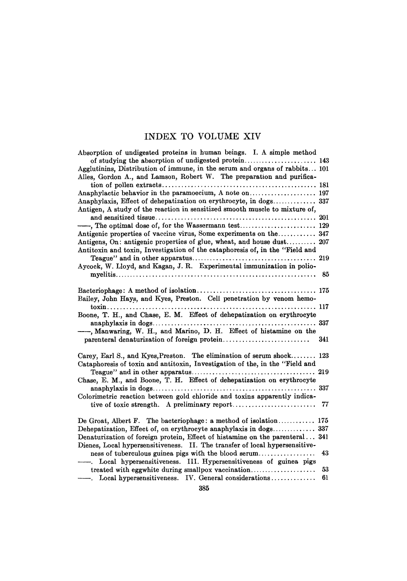# INDEX TO VOLUME XIV

| Absorption of undigested proteins in human beings. I. A simple method        |
|------------------------------------------------------------------------------|
| of studying the absorption of undigested protein 143                         |
| Agglutinins, Distribution of immune, in the serum and organs of rabbits 101  |
| Alles, Gordon A., and Lamson, Robert W. The preparation and purifica-        |
|                                                                              |
|                                                                              |
| Anaphylaxis, Effect of dehepatization on erythrocyte, in dogs 337            |
| Antigen, A study of the reaction in sensitized smooth muscle to mixture of,  |
|                                                                              |
|                                                                              |
|                                                                              |
| Antigens, On: antigenic properties of glue, wheat, and house dust 207        |
| Antitoxin and toxin, Investigation of the cataphoresis of, in the "Field and |
|                                                                              |
| Aycock, W. Lloyd, and Kagan, J. R. Experimental immunization in polio-       |
|                                                                              |
|                                                                              |
|                                                                              |
| Bailey, John Hays, and Kyes, Preston. Cell penetration by venom hemo-        |
|                                                                              |
| Boone, T. H., and Chase, E. M. Effect of dehepatization on erythrocyte       |
|                                                                              |
| -, Manwaring, W. H., and Marino, D. H. Effect of histamine on the            |
| 341                                                                          |
|                                                                              |
| Carey, Earl S., and Kyes, Preston. The elimination of serum shock 123        |
| Cataphoresis of toxin and antitoxin, Investigation of the, in the "Field and |
|                                                                              |
| Chase, E. M., and Boone, T. H. Effect of dehepatization on erythrocyte       |
|                                                                              |
| Colorimetric reaction between gold chloride and toxins apparently indica-    |
| tive of toxic strength. A preliminary report<br>77                           |
|                                                                              |
| De Groat, Albert F. The bacteriophage: a method of isolation 175             |
| Dehepatization, Effect of, on erythrocyte anaphylaxis in dogs 337            |
| Denaturization of foreign protein, Effect of histamine on the parenteral 341 |
| Dienes, Local hypersensitiveness. II. The transfer of local hypersensitive-  |
| ness of tuberculous guinea pigs with the blood serum<br>43                   |
| ---. Local hypersensitiveness. III. Hypersensitiveness of guinea pigs        |
| treated with eggwhite during smallpox vaccination<br>53                      |
| - Local hypersensitiveness. IV. General considerations<br>61                 |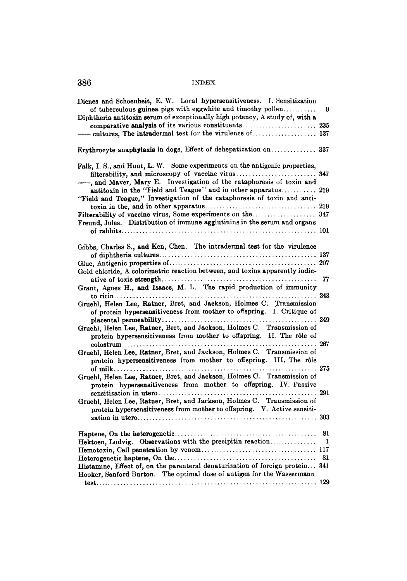| Dienes and Schoenheit, E. W. Local hypersensitiveness. I. Sensitization                                                                            |    |
|----------------------------------------------------------------------------------------------------------------------------------------------------|----|
| of tuberculous guinea pigs with eggwhite and timothy pollen                                                                                        | 9  |
| Diphtheria antitoxin serum of exceptionally high potency, A study of, with a                                                                       |    |
|                                                                                                                                                    |    |
|                                                                                                                                                    |    |
|                                                                                                                                                    |    |
| Erythrocyte anaphylaxis in dogs, Effect of dehepatization on  337                                                                                  |    |
| Falk, I. S., and Hunt, L. W. Some experiments on the antigenic properties,                                                                         |    |
|                                                                                                                                                    |    |
| -, and Maver, Mary E. Investigation of the cataphoresis of toxin and                                                                               |    |
| antitoxin in the "Field and Teague" and in other apparatus 219                                                                                     |    |
| "Field and Teague," Investigation of the cataphoresis of toxin and anti-                                                                           |    |
|                                                                                                                                                    |    |
|                                                                                                                                                    |    |
| Freund, Jules. Distribution of immune agglutinins in the serum and organs                                                                          |    |
|                                                                                                                                                    |    |
|                                                                                                                                                    |    |
| Gibbs, Charles S., and Ken, Chen. The intradermal test for the virulence                                                                           |    |
|                                                                                                                                                    |    |
|                                                                                                                                                    |    |
| Gold chloride, A colorimetric reaction between, and toxins apparently indic-                                                                       |    |
|                                                                                                                                                    | 77 |
| Grant, Agnes H., and Isaacs, M. L. The rapid production of immunity                                                                                |    |
|                                                                                                                                                    |    |
| Gruehl, Helen Lee, Ratner, Bret, and Jackson, Holmes C. Transmission                                                                               |    |
| of protein hypersensitiveness from mother to offspring. I. Critique of                                                                             |    |
|                                                                                                                                                    |    |
| Gruehl, Helen Lee, Ratner, Bret, and Jackson, Holmes C. Transmission of                                                                            |    |
| protein hypersensitiveness from mother to offspring. II. The rôle of                                                                               |    |
|                                                                                                                                                    |    |
| Gruehl, Helen Lee, Ratner, Bret, and Jackson, Holmes C. Transmission of                                                                            |    |
| protein hypersensitiveness from mother to offspring. III. The rôle                                                                                 |    |
|                                                                                                                                                    |    |
| Gruehl, Helen Lee, Ratner, Bret, and Jackson, Holmes C. Transmission of                                                                            |    |
| protein hypersensitiveness from mother to offspring. IV. Passive                                                                                   |    |
|                                                                                                                                                    |    |
| Gruehl, Helen Lee, Ratner, Bret, and Jackson, Holmes C. Transmission of<br>protein hypersensitiveness from mother to offspring. V. Active sensiti- |    |
|                                                                                                                                                    |    |
|                                                                                                                                                    |    |
|                                                                                                                                                    | 81 |
| Hektoen, Ludvig. Observations with the precipitin reaction                                                                                         | 1  |
|                                                                                                                                                    |    |
|                                                                                                                                                    | 81 |
| Histamine, Effect of, on the parenteral denaturization of foreign protein 341                                                                      |    |
| Hooker, Sanford Burton. The optimal dose of antigen for the Wassermann                                                                             |    |
|                                                                                                                                                    |    |
|                                                                                                                                                    |    |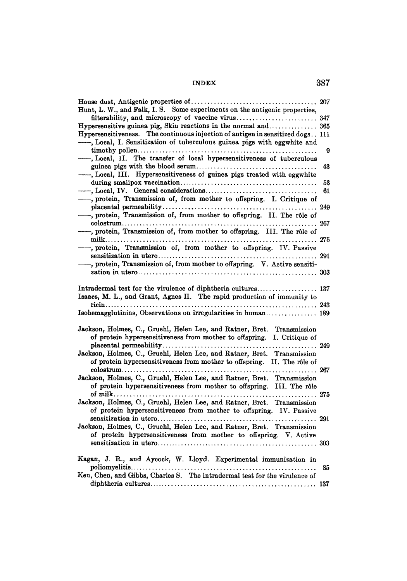| Hunt, L. W., and Falk, I. S. Some experiments on the antigenic properties,     | 207 |
|--------------------------------------------------------------------------------|-----|
| filterability, and microscopy of vaccine virus 347                             |     |
|                                                                                |     |
| Hypersensitiveness. The continuous injection of antigen in sensitized dogs 111 |     |
| -, Local, I. Sensitization of tuberculous guinea pigs with eggwhite and        |     |
|                                                                                | 9   |
| -, Local, II. The transfer of local hypersensitiveness of tuberculous          |     |
|                                                                                | 43  |
| -, Local, III. Hypersensitiveness of guinea pigs treated with eggwhite         |     |
|                                                                                | 53  |
|                                                                                | 61  |
| -, protein, Transmission of, from mother to offspring. I. Critique of          |     |
|                                                                                | 249 |
| -, protein, Transmission of, from mother to offspring. II. The rôle of         |     |
|                                                                                | 267 |
| -, protein, Transmission of, from mother to offspring. III. The rôle of        |     |
|                                                                                |     |
|                                                                                | 275 |
| -, protein, Transmission of, from mother to offspring. IV. Passive             |     |
|                                                                                |     |
| , protein, Transmission of, from mother to offspring. V. Active sensiti-       |     |
|                                                                                |     |
|                                                                                |     |
| Intradermal test for the virulence of diphtheria cultures 137                  |     |
| Isaacs, M. L., and Grant, Agnes H. The rapid production of immunity to         |     |
|                                                                                |     |
| Isohemagglutinins, Observations on irregularities in human 189                 |     |
|                                                                                |     |
| Jackson, Holmes, C., Gruehl, Helen Lee, and Ratner, Bret. Transmission         |     |
| of protein hypersensitiveness from mother to offspring. I. Critique of         |     |
|                                                                                |     |
| Jackson, Holmes, C., Gruehl, Helen Lee, and Ratner, Bret. Transmission         |     |
| of protein hypersensitiveness from mother to offspring. II. The rôle of        |     |
|                                                                                |     |
| Jackson, Holmes, C., Gruehl, Helen Lee, and Ratner, Bret. Transmission         |     |
| of protein hypersensitiveness from mother to offspring. III. The rôle          |     |
|                                                                                |     |
| Jackson, Holmes, C., Gruehl, Helen Lee, and Ratner, Bret. Transmission         |     |
| of protein hypersensitiveness from mother to offspring. IV. Passive            |     |
|                                                                                |     |
| Jackson, Holmes, C., Gruehl, Helen Lee, and Ratner, Bret. Transmission         |     |
| of protein hypersensitiveness from mother to offspring. V. Active              |     |
|                                                                                |     |
|                                                                                |     |
| Kagan, J. R., and Aycock, W. Lloyd. Experimental immunization in               |     |
| .                                                                              | 85  |
| Ken, Chen, and Gibbs, Charles S. The intradermal test for the virulence of     |     |
|                                                                                |     |
|                                                                                |     |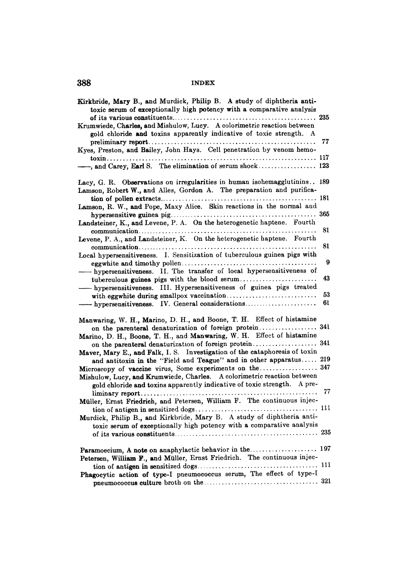| Kirkbride, Mary B., and Murdick, Philip B. A study of diphtheria anti-<br>toxic serum of exceptionally high potency with a comparative analysis     |          |
|-----------------------------------------------------------------------------------------------------------------------------------------------------|----------|
| Krumwiede, Charles, and Mishulow, Lucy. A colorimetric reaction between<br>gold chloride and toxins apparently indicative of toxic strength. A      |          |
| Kyes, Preston, and Bailey, John Hays. Cell penetration by venom hemo-                                                                               | 77       |
| and Carey, Earl S. The elimination of serum shock 123                                                                                               |          |
| Lacy, G. R. Observations on irregularities in human isohemagglutinins 189<br>Lamson, Robert W., and Alles, Gordon A. The preparation and purifica-  |          |
|                                                                                                                                                     |          |
| Lamson, R. W., and Pope, Maxy Alice. Skin reactions in the normal and                                                                               |          |
| Landsteiner, K., and Levene, P. A. On the heterogenetic haptene. Fourth                                                                             |          |
|                                                                                                                                                     | 81       |
| Levene, P. A., and Landsteiner, K. On the heterogenetic haptene. Fourth                                                                             | 81       |
| Local hypersensitiveness. I. Sensitization of tuberculous guinea pigs with                                                                          |          |
|                                                                                                                                                     | 9        |
| - hypersensitiveness. II. The transfer of local hypersensitiveness of                                                                               |          |
| tuberculous guinea pigs with the blood serum                                                                                                        | 43       |
| - hypersensitiveness. III. Hypersensitiveness of guinea pigs treated                                                                                |          |
| - hypersensitiveness. IV. General considerations                                                                                                    | 53<br>61 |
|                                                                                                                                                     |          |
| Manwaring, W. H., Marino, D. H., and Boone, T. H. Effect of histamine                                                                               |          |
| on the parenteral denaturization of foreign protein 341                                                                                             |          |
| Marino, D. H., Boone, T. H., and Manwaring, W. H. Effect of histamine                                                                               |          |
|                                                                                                                                                     |          |
| Maver, Mary E., and Falk, I. S. Investigation of the cataphoresis of toxin                                                                          |          |
| and antitoxin in the "Field and Teague" and in other apparatus 219                                                                                  |          |
| Microscopy of vaccine virus, Some experiments on the 347                                                                                            |          |
| Mishulow, Lucy, and Krumwiede, Charles. A colorimetric reaction between<br>gold chloride and toxins apparently indicative of toxic strength. A pre- |          |
|                                                                                                                                                     | 77       |
| Müller, Ernst Friedrich, and Petersen, William F. The continuous injec-                                                                             |          |
|                                                                                                                                                     |          |
| Murdick, Philip B., and Kirkbride, Mary B. A study of diphtheria anti-                                                                              |          |
| toxic serum of exceptionally high potency with a comparative analysis                                                                               |          |
|                                                                                                                                                     |          |
|                                                                                                                                                     |          |
| Petersen, William F., and Müller, Ernst Friedrich. The continuous injec-                                                                            |          |
|                                                                                                                                                     |          |
| Phagocytic action of type-I pneumococcus serum, The effect of type-I                                                                                |          |
|                                                                                                                                                     |          |
|                                                                                                                                                     |          |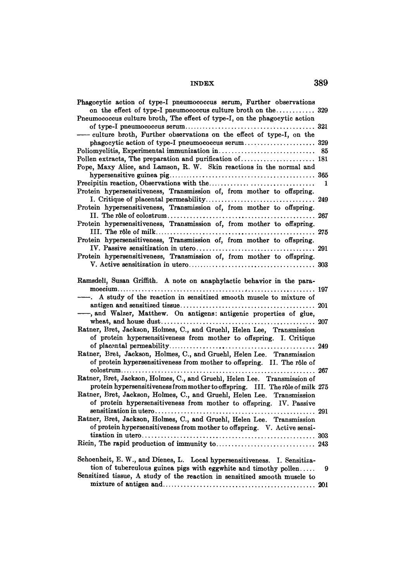| Phagocytic action of type-I pneumococcus serum, Further observations           |     |
|--------------------------------------------------------------------------------|-----|
| on the effect of type-I pneumococcus culture broth on the 329                  |     |
| Pneumococcus culture broth, The effect of type-I, on the phagocytic action     |     |
|                                                                                |     |
| - culture broth, Further observations on the effect of type-I, on the          |     |
|                                                                                |     |
|                                                                                | 85  |
|                                                                                |     |
| Pope, Maxy Alice, and Lamson, R. W. Skin reactions in the normal and           |     |
|                                                                                |     |
|                                                                                | 1   |
| Protein hypersensitiveness, Transmission of, from mother to offspring.         |     |
|                                                                                |     |
| Protein hypersensitiveness, Transmission of, from mother to offspring.         |     |
|                                                                                |     |
| Protein hypersensitiveness, Transmission of, from mother to offspring.         |     |
|                                                                                |     |
| Protein hypersensitiveness, Transmission of, from mother to offspring.         |     |
|                                                                                |     |
|                                                                                |     |
| Protein hypersensitiveness, Transmission of, from mother to offspring.         |     |
|                                                                                |     |
|                                                                                |     |
| Ramsdell, Susan Griffith. A note on anaphylactic behavior in the para-         |     |
|                                                                                |     |
| A study of the reaction in sensitized smooth muscle to mixture of              |     |
|                                                                                |     |
| -, and Walzer, Matthew. On antigens: antigenic properties of glue,             |     |
|                                                                                |     |
| Ratner, Bret, Jackson, Holmes, C., and Gruehl, Helen Lee, Transmission         |     |
| of protein hypersensitiveness from mother to offspring. I. Critique            |     |
|                                                                                |     |
| Ratner, Bret, Jackson, Holmes, C., and Gruehl, Helen Lee. Transmission         |     |
| of protein hypersensitiveness from mother to offspring. II. The rôle of        |     |
|                                                                                |     |
| Ratner, Bret, Jackson, Holmes, C., and Gruehl, Helen Lee. Transmission of      |     |
| protein hypersensitiveness from mother to offspring. III. The rôle of milk 275 |     |
| Ratner, Bret, Jackson, Holmes, C., and Gruehl, Helen Lee. Transmission         |     |
| of protein hypersensitiveness from mother to offspring. IV. Passive            |     |
|                                                                                |     |
| Ratner, Bret, Jackson, Holmes, C., and Gruehl, Helen Lee. Transmission         |     |
| of protein hypersensitiveness from mother to offspring. V. Active sensi-       |     |
|                                                                                |     |
|                                                                                |     |
|                                                                                |     |
| Schoenheit, E. W., and Dienes, L. Local hypersensitiveness. I. Sensitiza-      |     |
| tion of tuberculous guinea pigs with eggwhite and timothy pollen               | 9   |
| Sensitized tissue, A study of the reaction in sensitized smooth muscle to      |     |
|                                                                                | 201 |